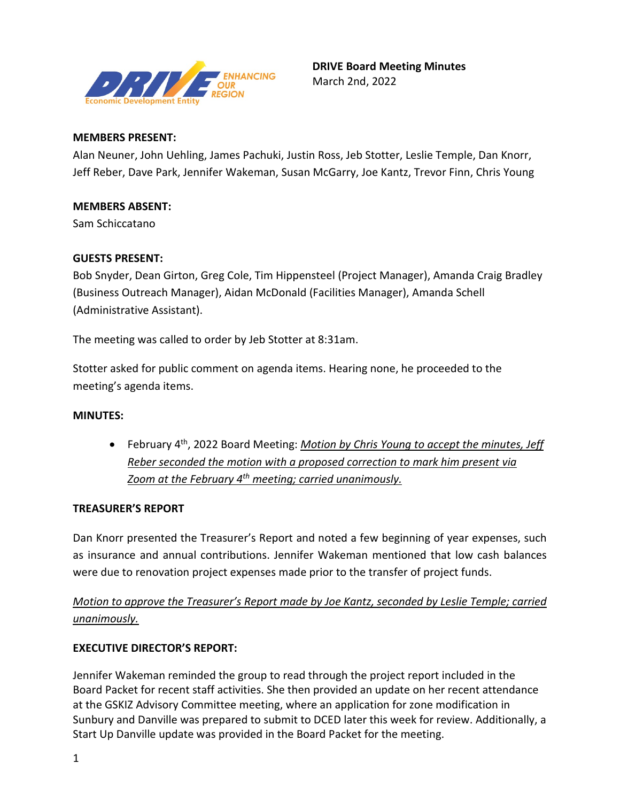

### **MEMBERS PRESENT:**

Alan Neuner, John Uehling, James Pachuki, Justin Ross, Jeb Stotter, Leslie Temple, Dan Knorr, Jeff Reber, Dave Park, Jennifer Wakeman, Susan McGarry, Joe Kantz, Trevor Finn, Chris Young

### **MEMBERS ABSENT:**

Sam Schiccatano

### **GUESTS PRESENT:**

Bob Snyder, Dean Girton, Greg Cole, Tim Hippensteel (Project Manager), Amanda Craig Bradley (Business Outreach Manager), Aidan McDonald (Facilities Manager), Amanda Schell (Administrative Assistant).

The meeting was called to order by Jeb Stotter at 8:31am.

Stotter asked for public comment on agenda items. Hearing none, he proceeded to the meeting's agenda items.

### **MINUTES:**

• February 4th, 2022 Board Meeting: *Motion by Chris Young to accept the minutes, Jeff Reber seconded the motion with a proposed correction to mark him present via Zoom at the February 4th meeting; carried unanimously.* 

### **TREASURER'S REPORT**

Dan Knorr presented the Treasurer's Report and noted a few beginning of year expenses, such as insurance and annual contributions. Jennifer Wakeman mentioned that low cash balances were due to renovation project expenses made prior to the transfer of project funds.

*Motion to approve the Treasurer's Report made by Joe Kantz, seconded by Leslie Temple; carried unanimously.* 

### **EXECUTIVE DIRECTOR'S REPORT:**

Jennifer Wakeman reminded the group to read through the project report included in the Board Packet for recent staff activities. She then provided an update on her recent attendance at the GSKIZ Advisory Committee meeting, where an application for zone modification in Sunbury and Danville was prepared to submit to DCED later this week for review. Additionally, a Start Up Danville update was provided in the Board Packet for the meeting.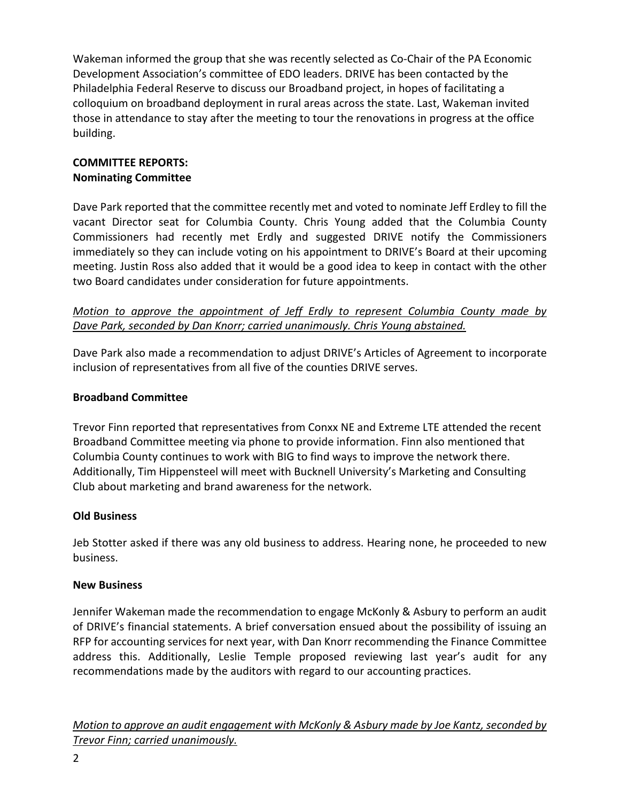Wakeman informed the group that she was recently selected as Co-Chair of the PA Economic Development Association's committee of EDO leaders. DRIVE has been contacted by the Philadelphia Federal Reserve to discuss our Broadband project, in hopes of facilitating a colloquium on broadband deployment in rural areas across the state. Last, Wakeman invited those in attendance to stay after the meeting to tour the renovations in progress at the office building.

### **COMMITTEE REPORTS: Nominating Committee**

Dave Park reported that the committee recently met and voted to nominate Jeff Erdley to fill the vacant Director seat for Columbia County. Chris Young added that the Columbia County Commissioners had recently met Erdly and suggested DRIVE notify the Commissioners immediately so they can include voting on his appointment to DRIVE's Board at their upcoming meeting. Justin Ross also added that it would be a good idea to keep in contact with the other two Board candidates under consideration for future appointments.

## *Motion to approve the appointment of Jeff Erdly to represent Columbia County made by Dave Park, seconded by Dan Knorr; carried unanimously. Chris Young abstained.*

Dave Park also made a recommendation to adjust DRIVE's Articles of Agreement to incorporate inclusion of representatives from all five of the counties DRIVE serves.

## **Broadband Committee**

Trevor Finn reported that representatives from Conxx NE and Extreme LTE attended the recent Broadband Committee meeting via phone to provide information. Finn also mentioned that Columbia County continues to work with BIG to find ways to improve the network there. Additionally, Tim Hippensteel will meet with Bucknell University's Marketing and Consulting Club about marketing and brand awareness for the network.

### **Old Business**

Jeb Stotter asked if there was any old business to address. Hearing none, he proceeded to new business.

### **New Business**

Jennifer Wakeman made the recommendation to engage McKonly & Asbury to perform an audit of DRIVE's financial statements. A brief conversation ensued about the possibility of issuing an RFP for accounting services for next year, with Dan Knorr recommending the Finance Committee address this. Additionally, Leslie Temple proposed reviewing last year's audit for any recommendations made by the auditors with regard to our accounting practices.

*Motion to approve an audit engagement with McKonly & Asbury made by Joe Kantz, seconded by Trevor Finn; carried unanimously.*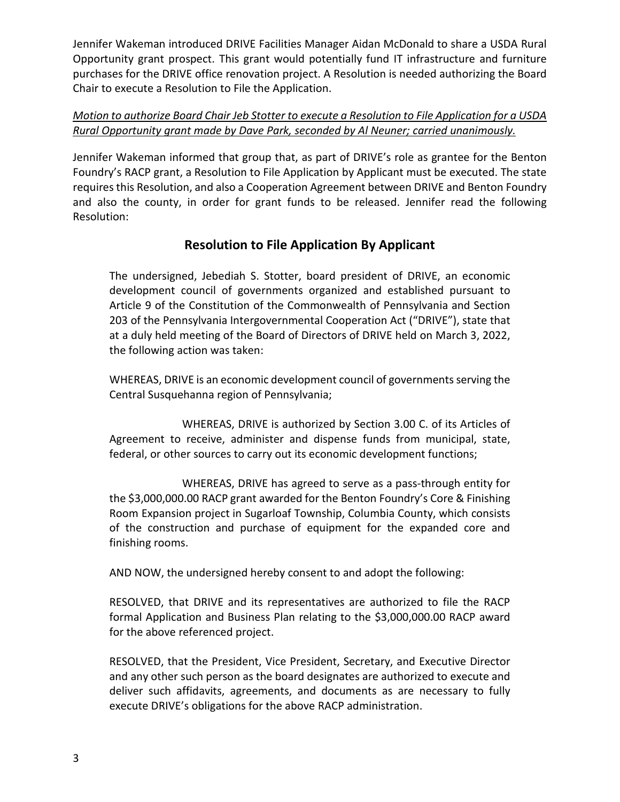Jennifer Wakeman introduced DRIVE Facilities Manager Aidan McDonald to share a USDA Rural Opportunity grant prospect. This grant would potentially fund IT infrastructure and furniture purchases for the DRIVE office renovation project. A Resolution is needed authorizing the Board Chair to execute a Resolution to File the Application.

## *Motion to authorize Board Chair Jeb Stotter to execute a Resolution to File Application for a USDA Rural Opportunity grant made by Dave Park, seconded by Al Neuner; carried unanimously.*

Jennifer Wakeman informed that group that, as part of DRIVE's role as grantee for the Benton Foundry's RACP grant, a Resolution to File Application by Applicant must be executed. The state requires this Resolution, and also a Cooperation Agreement between DRIVE and Benton Foundry and also the county, in order for grant funds to be released. Jennifer read the following Resolution:

# **Resolution to File Application By Applicant**

The undersigned, Jebediah S. Stotter, board president of DRIVE, an economic development council of governments organized and established pursuant to Article 9 of the Constitution of the Commonwealth of Pennsylvania and Section 203 of the Pennsylvania Intergovernmental Cooperation Act ("DRIVE"), state that at a duly held meeting of the Board of Directors of DRIVE held on March 3, 2022, the following action was taken:

WHEREAS, DRIVE is an economic development council of governments serving the Central Susquehanna region of Pennsylvania;

 WHEREAS, DRIVE is authorized by Section 3.00 C. of its Articles of Agreement to receive, administer and dispense funds from municipal, state, federal, or other sources to carry out its economic development functions;

 WHEREAS, DRIVE has agreed to serve as a pass-through entity for the \$3,000,000.00 RACP grant awarded for the Benton Foundry's Core & Finishing Room Expansion project in Sugarloaf Township, Columbia County, which consists of the construction and purchase of equipment for the expanded core and finishing rooms.

AND NOW, the undersigned hereby consent to and adopt the following:

RESOLVED, that DRIVE and its representatives are authorized to file the RACP formal Application and Business Plan relating to the \$3,000,000.00 RACP award for the above referenced project.

RESOLVED, that the President, Vice President, Secretary, and Executive Director and any other such person as the board designates are authorized to execute and deliver such affidavits, agreements, and documents as are necessary to fully execute DRIVE's obligations for the above RACP administration.